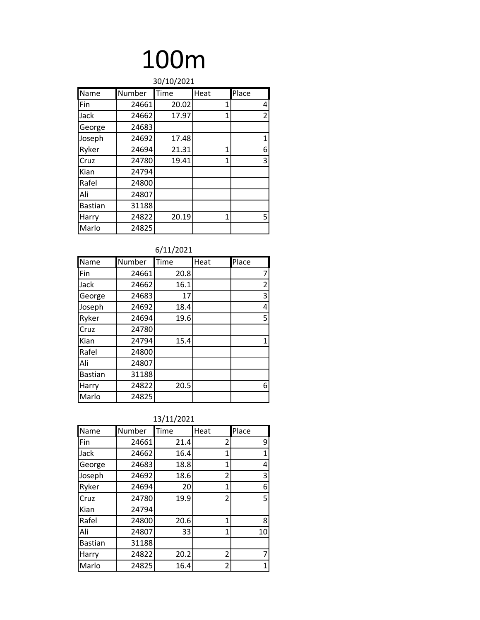| 30/10/2021     |        |       |                |                |
|----------------|--------|-------|----------------|----------------|
| Name           | Number | Time  | Heat           | Place          |
| Fin            | 24661  | 20.02 | 1              | 4              |
| Jack           | 24662  | 17.97 | $\overline{1}$ | $\overline{2}$ |
| George         | 24683  |       |                |                |
| Joseph         | 24692  | 17.48 |                | 1              |
| Ryker          | 24694  | 21.31 | $\overline{1}$ | 6              |
| Cruz           | 24780  | 19.41 | $\overline{1}$ | 3              |
| Kian           | 24794  |       |                |                |
| Rafel          | 24800  |       |                |                |
| Ali            | 24807  |       |                |                |
| <b>Bastian</b> | 31188  |       |                |                |
| Harry          | 24822  | 20.19 | 1              | 5.             |
| Marlo          | 24825  |       |                |                |

| 6/11/2021      |        |      |      |       |
|----------------|--------|------|------|-------|
| Name           | Number | Time | Heat | Place |
| Fin            | 24661  | 20.8 |      | 7     |
| Jack           | 24662  | 16.1 |      | 2     |
| George         | 24683  | 17   |      | 3     |
| Joseph         | 24692  | 18.4 |      | 4     |
| Ryker          | 24694  | 19.6 |      | 5     |
| Cruz           | 24780  |      |      |       |
| Kian           | 24794  | 15.4 |      | 1     |
| Rafel          | 24800  |      |      |       |
| Ali            | 24807  |      |      |       |
| <b>Bastian</b> | 31188  |      |      |       |
| Harry          | 24822  | 20.5 |      | 6     |
| Marlo          | 24825  |      |      |       |

| Name           | Number | Time | Heat           | Place |
|----------------|--------|------|----------------|-------|
| Fin            | 24661  | 21.4 | 2              | 9     |
| Jack           | 24662  | 16.4 | 1              | 1     |
| George         | 24683  | 18.8 | $\mathbf{1}$   | 4     |
| Joseph         | 24692  | 18.6 | $\overline{2}$ | 3     |
| Ryker          | 24694  | 20   | 1              | 6     |
| Cruz           | 24780  | 19.9 | $\overline{2}$ | 5     |
| Kian           | 24794  |      |                |       |
| Rafel          | 24800  | 20.6 | 1              | 8     |
| Ali            | 24807  | 33   | 1              | 10    |
| <b>Bastian</b> | 31188  |      |                |       |
| Harry          | 24822  | 20.2 | $\overline{2}$ |       |
| Marlo          | 24825  | 16.4 | $\overline{2}$ | 1     |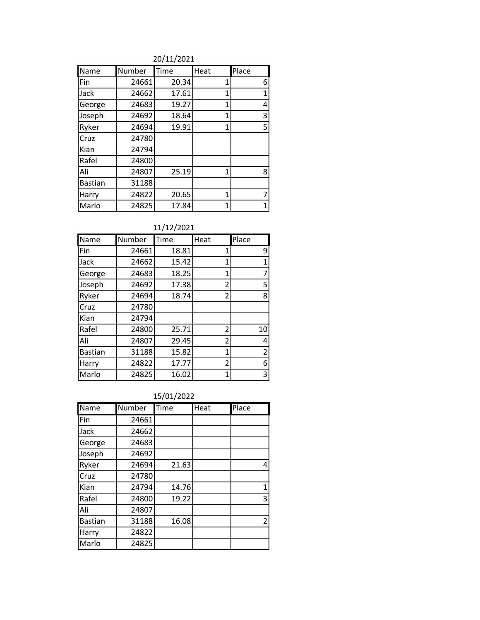20/11/2021

| Name           | Number | Time  | Heat         | Place        |
|----------------|--------|-------|--------------|--------------|
| Fin            | 24661  | 20.34 | 1            | 6            |
| Jack           | 24662  | 17.61 | 1            | $\mathbf{1}$ |
| George         | 24683  | 19.27 | 1            | 4            |
| Joseph         | 24692  | 18.64 | 1            | 3            |
| Ryker          | 24694  | 19.91 | 1            | 5            |
| Cruz           | 24780  |       |              |              |
| Kian           | 24794  |       |              |              |
| Rafel          | 24800  |       |              |              |
| Ali            | 24807  | 25.19 | 1            | 8            |
| <b>Bastian</b> | 31188  |       |              |              |
| Harry          | 24822  | 20.65 | 1            | 7            |
| Marlo          | 24825  | 17.84 | $\mathbf{1}$ | 1            |

### 11/12/2021

| Name           | Number | Time  | Heat           | Place          |
|----------------|--------|-------|----------------|----------------|
| Fin            | 24661  | 18.81 | 1              | 9              |
| Jack           | 24662  | 15.42 | 1              | $\mathbf{1}$   |
| George         | 24683  | 18.25 | 1              | 7              |
| Joseph         | 24692  | 17.38 | 2              | 5              |
| Ryker          | 24694  | 18.74 | $\overline{2}$ | 8              |
| Cruz           | 24780  |       |                |                |
| Kian           | 24794  |       |                |                |
| Rafel          | 24800  | 25.71 | 2              | 10             |
| Ali            | 24807  | 29.45 | 2              | 4              |
| <b>Bastian</b> | 31188  | 15.82 | 1              | $\overline{2}$ |
| Harry          | 24822  | 17.77 | 2              | 6              |
| Marlo          | 24825  | 16.02 | $\mathbf 1$    | 3              |

### 15/01/2022

| Name           | Number | Time  | Heat | Place          |
|----------------|--------|-------|------|----------------|
| Fin            | 24661  |       |      |                |
| Jack           | 24662  |       |      |                |
| George         | 24683  |       |      |                |
| Joseph         | 24692  |       |      |                |
| Ryker          | 24694  | 21.63 |      | 4              |
| Cruz           | 24780  |       |      |                |
| Kian           | 24794  | 14.76 |      | 1              |
| Rafel          | 24800  | 19.22 |      | 3              |
| Ali            | 24807  |       |      |                |
| <b>Bastian</b> | 31188  | 16.08 |      | $\overline{2}$ |
| Harry          | 24822  |       |      |                |
| Marlo          | 24825  |       |      |                |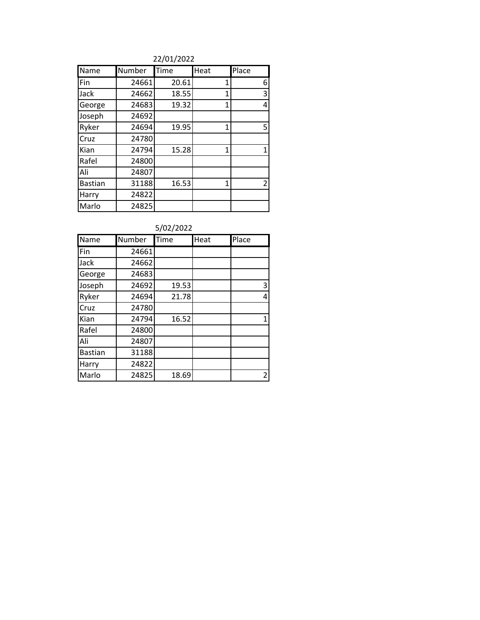22/01/2022

| Name           | Number | Time  | Heat | Place |
|----------------|--------|-------|------|-------|
| Fin            | 24661  | 20.61 | 1    | 6     |
| Jack           | 24662  | 18.55 | 1    | 3     |
| George         | 24683  | 19.32 | 1    | 4     |
| Joseph         | 24692  |       |      |       |
| Ryker          | 24694  | 19.95 | 1    | 5     |
| Cruz           | 24780  |       |      |       |
| Kian           | 24794  | 15.28 | 1    | 1     |
| Rafel          | 24800  |       |      |       |
| Ali            | 24807  |       |      |       |
| <b>Bastian</b> | 31188  | 16.53 | 1    | 2     |
| Harry          | 24822  |       |      |       |
| Marlo          | 24825  |       |      |       |

|  | 5/02/2022 |
|--|-----------|
|--|-----------|

| Name           | Number | Time  | Heat | Place |
|----------------|--------|-------|------|-------|
| Fin            | 24661  |       |      |       |
| Jack           | 24662  |       |      |       |
| George         | 24683  |       |      |       |
| Joseph         | 24692  | 19.53 |      | 3     |
| Ryker          | 24694  | 21.78 |      | 4     |
| Cruz           | 24780  |       |      |       |
| Kian           | 24794  | 16.52 |      | 1     |
| Rafel          | 24800  |       |      |       |
| Ali            | 24807  |       |      |       |
| <b>Bastian</b> | 31188  |       |      |       |
| Harry          | 24822  |       |      |       |
| Marlo          | 24825  | 18.69 |      | 2     |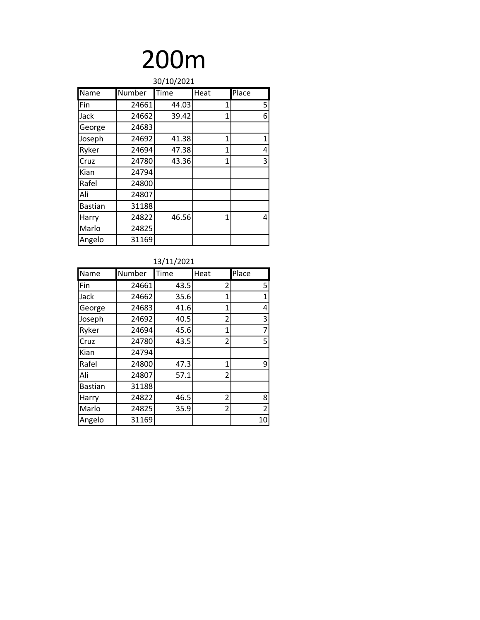| 30/10/2021     |               |       |                |       |
|----------------|---------------|-------|----------------|-------|
| Name           | <b>Number</b> | Time  | Heat           | Place |
| Fin            | 24661         | 44.03 | 1              | 5     |
| Jack           | 24662         | 39.42 | $\overline{1}$ | 6     |
| George         | 24683         |       |                |       |
| Joseph         | 24692         | 41.38 | $\overline{1}$ | 1     |
| Ryker          | 24694         | 47.38 | $\overline{1}$ | 4     |
| Cruz           | 24780         | 43.36 | 1              | 3     |
| Kian           | 24794         |       |                |       |
| Rafel          | 24800         |       |                |       |
| Ali            | 24807         |       |                |       |
| <b>Bastian</b> | 31188         |       |                |       |
| Harry          | 24822         | 46.56 | 1              | 4     |
| Marlo          | 24825         |       |                |       |
| Angelo         | 31169         |       |                |       |

#### 13/11/2021

| <b>Name</b>    | Number | Time | Heat | Place          |
|----------------|--------|------|------|----------------|
| Fin            | 24661  | 43.5 | 2    | 5              |
| Jack           | 24662  | 35.6 | 1    | $\mathbf{1}$   |
| George         | 24683  | 41.6 | 1    | 4              |
| Joseph         | 24692  | 40.5 | 2    | 3              |
| Ryker          | 24694  | 45.6 | 1    | 7              |
| Cruz           | 24780  | 43.5 | 2    | 5              |
| Kian           | 24794  |      |      |                |
| Rafel          | 24800  | 47.3 | 1    | 9              |
| Ali            | 24807  | 57.1 | 2    |                |
| <b>Bastian</b> | 31188  |      |      |                |
| Harry          | 24822  | 46.5 | 2    | 8              |
| Marlo          | 24825  | 35.9 | 2    | $\overline{2}$ |
| Angelo         | 31169  |      |      | 10             |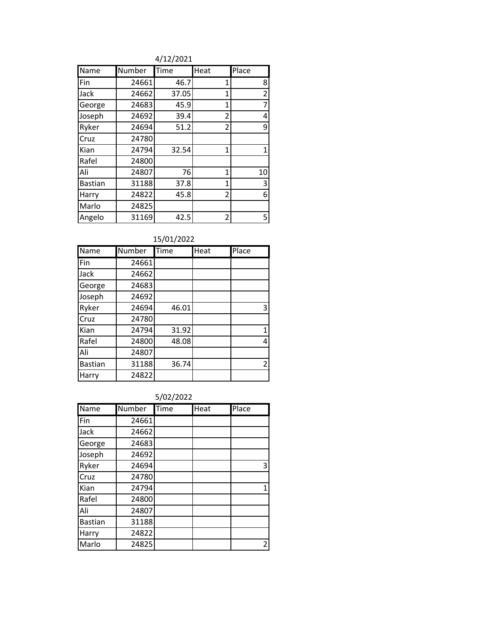4/12/2021

| Name           | Number | Time  | Heat           | Place          |
|----------------|--------|-------|----------------|----------------|
| Fin            | 24661  | 46.7  | 1              | 8              |
| Jack           | 24662  | 37.05 | 1              | $\overline{2}$ |
| George         | 24683  | 45.9  | 1              | 7              |
| Joseph         | 24692  | 39.4  | $\overline{2}$ | 4              |
| Ryker          | 24694  | 51.2  | $\overline{2}$ | 9              |
| Cruz           | 24780  |       |                |                |
| Kian           | 24794  | 32.54 | 1              | 1              |
| Rafel          | 24800  |       |                |                |
| Ali            | 24807  | 76    | 1              | 10             |
| <b>Bastian</b> | 31188  | 37.8  | 1              | 3              |
| Harry          | 24822  | 45.8  | 2              | 6              |
| Marlo          | 24825  |       |                |                |
| Angelo         | 31169  | 42.5  | 2              | 5.             |

15/01/2022

| Name           | Number | Time  | Heat | Place          |
|----------------|--------|-------|------|----------------|
| Fin            | 24661  |       |      |                |
| Jack           | 24662  |       |      |                |
| George         | 24683  |       |      |                |
| Joseph         | 24692  |       |      |                |
| Ryker          | 24694  | 46.01 |      | 3              |
| Cruz           | 24780  |       |      |                |
| Kian           | 24794  | 31.92 |      | 1              |
| Rafel          | 24800  | 48.08 |      | 4              |
| Ali            | 24807  |       |      |                |
| <b>Bastian</b> | 31188  | 36.74 |      | $\overline{2}$ |
| Harry          | 24822  |       |      |                |

5/02/2022

| Name           | Number | Time | Heat | Place |
|----------------|--------|------|------|-------|
| Fin            | 24661  |      |      |       |
| Jack           | 24662  |      |      |       |
| George         | 24683  |      |      |       |
| Joseph         | 24692  |      |      |       |
| Ryker          | 24694  |      |      | 3     |
| Cruz           | 24780  |      |      |       |
| Kian           | 24794  |      |      | 1     |
| Rafel          | 24800  |      |      |       |
| Ali            | 24807  |      |      |       |
| <b>Bastian</b> | 31188  |      |      |       |
| Harry          | 24822  |      |      |       |
| Marlo          | 24825  |      |      | 2     |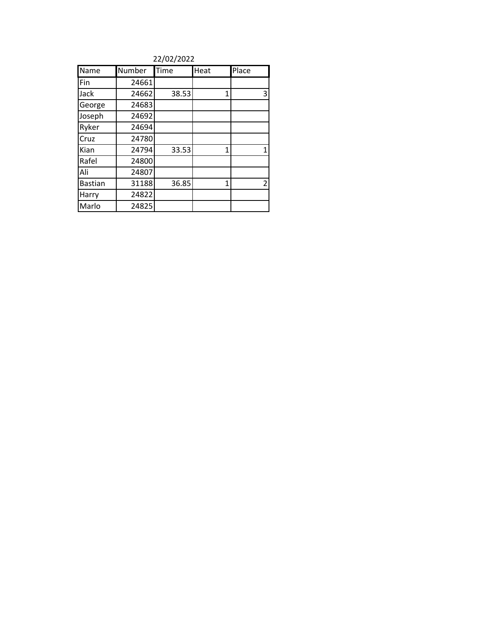22/02/2022

| Name           | Number | Time  | Heat | Place |
|----------------|--------|-------|------|-------|
| Fin            | 24661  |       |      |       |
| Jack           | 24662  | 38.53 | 1    | 3     |
| George         | 24683  |       |      |       |
| Joseph         | 24692  |       |      |       |
| Ryker          | 24694  |       |      |       |
| Cruz           | 24780  |       |      |       |
| Kian           | 24794  | 33.53 | 1    | 1     |
| Rafel          | 24800  |       |      |       |
| Ali            | 24807  |       |      |       |
| <b>Bastian</b> | 31188  | 36.85 | 1    | 2     |
| Harry          | 24822  |       |      |       |
| Marlo          | 24825  |       |      |       |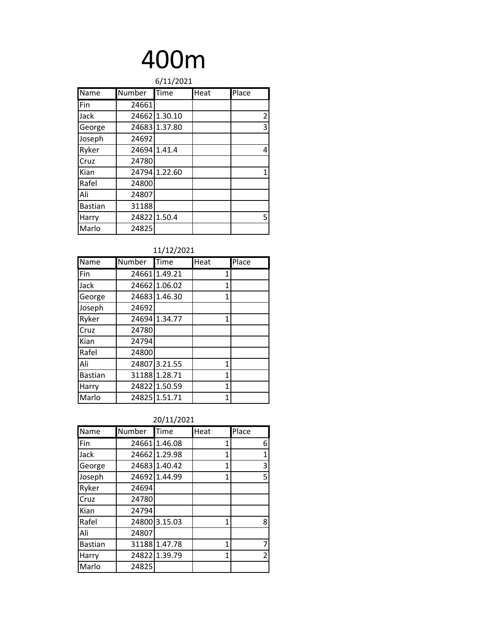| 6/11/2021      |        |               |      |                |  |
|----------------|--------|---------------|------|----------------|--|
| Name           | Number | Time          | Heat | Place          |  |
| Fin            | 24661  |               |      |                |  |
| Jack           |        | 24662 1.30.10 |      | $\overline{2}$ |  |
| George         |        | 24683 1.37.80 |      | 3              |  |
| Joseph         | 24692  |               |      |                |  |
| Ryker          | 24694  | 1.41.4        |      | 4              |  |
| Cruz           | 24780  |               |      |                |  |
| Kian           |        | 24794 1.22.60 |      | 1              |  |
| Rafel          | 24800  |               |      |                |  |
| Ali            | 24807  |               |      |                |  |
| <b>Bastian</b> | 31188  |               |      |                |  |
| Harry          |        | 24822 1.50.4  |      | 5              |  |
| Marlo          | 24825  |               |      |                |  |

| 11/12/2021 |
|------------|
|------------|

| Name           | Number | Time          | Heat | Place |
|----------------|--------|---------------|------|-------|
| Fin            |        | 24661 1.49.21 | 1    |       |
| Jack           |        | 24662 1.06.02 | 1    |       |
| George         |        | 24683 1.46.30 | 1    |       |
| Joseph         | 24692  |               |      |       |
| Ryker          |        | 24694 1.34.77 | 1    |       |
| Cruz           | 24780  |               |      |       |
| Kian           | 24794  |               |      |       |
| Rafel          | 24800  |               |      |       |
| Ali            |        | 24807 3.21.55 | 1    |       |
| <b>Bastian</b> |        | 31188 1.28.71 | 1    |       |
| Harry          |        | 24822 1.50.59 | 1    |       |
| Marlo          |        | 24825 1.51.71 | 1    |       |

| 20/11/2021 |
|------------|
|------------|

| Name           | Number | Time          | Heat           | Place |
|----------------|--------|---------------|----------------|-------|
| Fin            |        | 24661 1.46.08 | 1              | 6     |
| Jack           |        | 24662 1.29.98 | 1              | 1     |
| George         |        | 24683 1.40.42 | $\overline{1}$ | 3     |
| Joseph         |        | 24692 1.44.99 | 1              | 5     |
| Ryker          | 24694  |               |                |       |
| Cruz           | 24780  |               |                |       |
| Kian           | 24794  |               |                |       |
| Rafel          |        | 24800 3.15.03 | 1              | 8     |
| Ali            | 24807  |               |                |       |
| <b>Bastian</b> |        | 31188 1.47.78 | 1              | 7     |
| Harry          |        | 24822 1.39.79 | 1              | 2     |
| Marlo          | 24825  |               |                |       |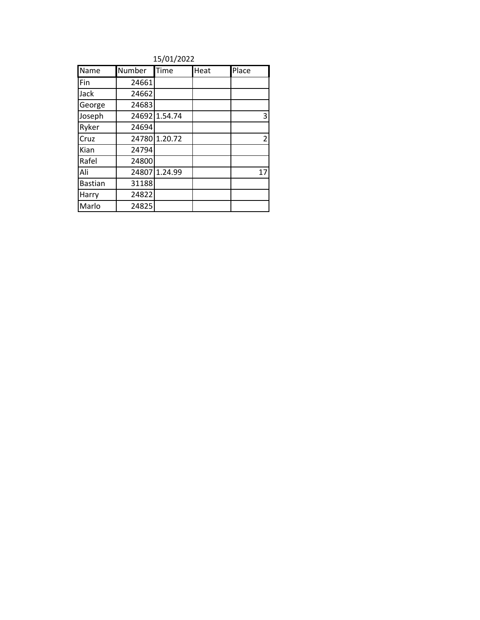15/01/2022

| Name           | Number | Time          | Heat | Place          |
|----------------|--------|---------------|------|----------------|
| Fin            | 24661  |               |      |                |
| Jack           | 24662  |               |      |                |
| George         | 24683  |               |      |                |
| Joseph         |        | 24692 1.54.74 |      | 3              |
| Ryker          | 24694  |               |      |                |
| Cruz           |        | 24780 1.20.72 |      | $\overline{2}$ |
| Kian           | 24794  |               |      |                |
| Rafel          | 24800  |               |      |                |
| Ali            |        | 24807 1.24.99 |      | 17             |
| <b>Bastian</b> | 31188  |               |      |                |
| Harry          | 24822  |               |      |                |
| Marlo          | 24825  |               |      |                |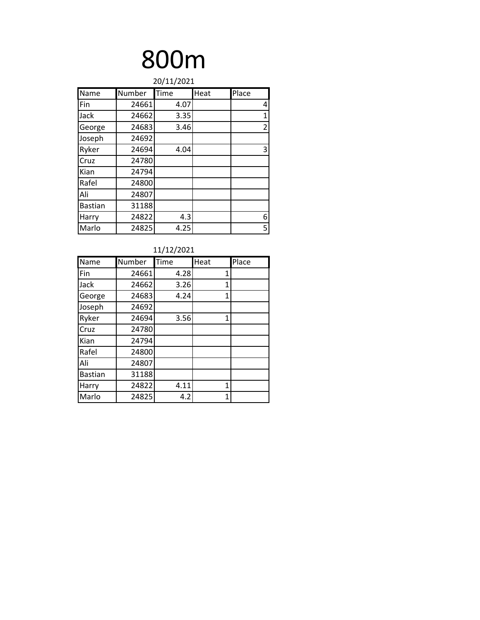| 20/11/2021     |        |      |      |                |  |
|----------------|--------|------|------|----------------|--|
| Name           | Number | Time | Heat | Place          |  |
| Fin            | 24661  | 4.07 |      | 4              |  |
| Jack           | 24662  | 3.35 |      | $\mathbf{1}$   |  |
| George         | 24683  | 3.46 |      | $\overline{2}$ |  |
| Joseph         | 24692  |      |      |                |  |
| Ryker          | 24694  | 4.04 |      | 3              |  |
| Cruz           | 24780  |      |      |                |  |
| Kian           | 24794  |      |      |                |  |
| Rafel          | 24800  |      |      |                |  |
| Ali            | 24807  |      |      |                |  |
| <b>Bastian</b> | 31188  |      |      |                |  |
| Harry          | 24822  | 4.3  |      | 6              |  |
| Marlo          | 24825  | 4.25 |      | 5              |  |

| 11/12/2021     |        |      |              |       |  |
|----------------|--------|------|--------------|-------|--|
| Name           | Number | Time | Heat         | Place |  |
| Fin            | 24661  | 4.28 | 1            |       |  |
| Jack           | 24662  | 3.26 | 1            |       |  |
| George         | 24683  | 4.24 | $\mathbf{1}$ |       |  |
| Joseph         | 24692  |      |              |       |  |
| Ryker          | 24694  | 3.56 | 1            |       |  |
| Cruz           | 24780  |      |              |       |  |
| Kian           | 24794  |      |              |       |  |
| Rafel          | 24800  |      |              |       |  |
| Ali            | 24807  |      |              |       |  |
| <b>Bastian</b> | 31188  |      |              |       |  |
| Harry          | 24822  | 4.11 | 1            |       |  |
| Marlo          | 24825  | 4.2  | 1            |       |  |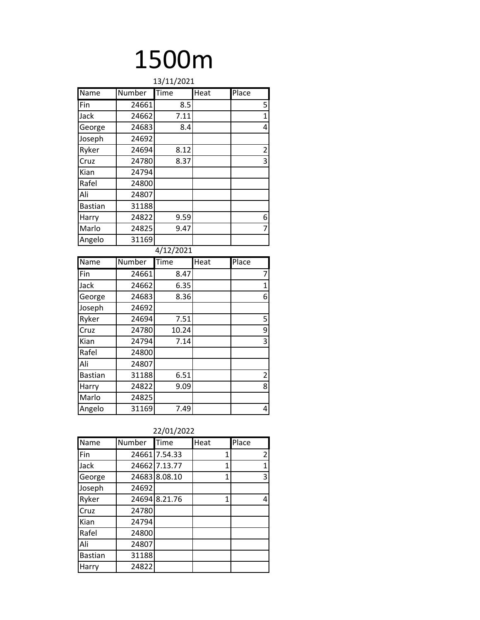| 13/11/2021     |               |                  |      |                     |  |  |  |  |  |
|----------------|---------------|------------------|------|---------------------|--|--|--|--|--|
| Name           | <b>Number</b> | Time             | Heat | Place               |  |  |  |  |  |
| .<br>Fin       | 24661         | 8.5              |      | 5                   |  |  |  |  |  |
| Jack           | 24662         | 7.11             |      | $\overline{1}$      |  |  |  |  |  |
| George         | 24683         | 8.4              |      | 4                   |  |  |  |  |  |
| Joseph         | 24692         |                  |      |                     |  |  |  |  |  |
| Ryker          | 24694         | 8.12             |      | $\overline{c}$      |  |  |  |  |  |
| Cruz           | 24780         | 8.37             |      | $\overline{3}$      |  |  |  |  |  |
| Kian           | 24794         |                  |      |                     |  |  |  |  |  |
| Rafel          | 24800         |                  |      |                     |  |  |  |  |  |
| Ali            | 24807         |                  |      |                     |  |  |  |  |  |
| <b>Bastian</b> | 31188         |                  |      |                     |  |  |  |  |  |
| Harry          | 24822         | 9.59             |      | 6                   |  |  |  |  |  |
| Marlo          | 24825         | 9.47             |      | $\overline{7}$      |  |  |  |  |  |
| Angelo         | 31169         |                  |      |                     |  |  |  |  |  |
|                |               | 4/12/2021        |      |                     |  |  |  |  |  |
| Name           | Number        | Time             | Heat | Place               |  |  |  |  |  |
| Fin            | 24661         | 8.47             |      | $\overline{7}$      |  |  |  |  |  |
| Jack           | 24662         | 6.35             |      | $\mathbf 1$         |  |  |  |  |  |
| George         | 24683         | 8.36             |      | 6                   |  |  |  |  |  |
| Joseph         | 24692         |                  |      |                     |  |  |  |  |  |
| Ryker          | 24694         | 7.51             |      | 5                   |  |  |  |  |  |
| Cruz           | 24780         | 10.24            |      | 9                   |  |  |  |  |  |
| Kian           | 24794         | 7.14             |      | $\overline{3}$      |  |  |  |  |  |
|                |               |                  |      |                     |  |  |  |  |  |
| Rafel          | 24800         |                  |      |                     |  |  |  |  |  |
| Ali            | 24807         |                  |      |                     |  |  |  |  |  |
| <b>Bastian</b> | 31188         | $\frac{1}{6.51}$ |      |                     |  |  |  |  |  |
| Harry          | 24822         | 9.09             |      |                     |  |  |  |  |  |
| Marlo          | 24825         |                  |      | $\overline{2}$<br>8 |  |  |  |  |  |

| Name           | Number | Time          | Heat | Place          |
|----------------|--------|---------------|------|----------------|
| Fin            |        | 24661 7.54.33 | 1    | $\overline{2}$ |
| Jack           |        | 24662 7.13.77 | 1    | 1              |
| George         |        | 24683 8.08.10 | 1    | 3              |
| Joseph         | 24692  |               |      |                |
| Ryker          |        | 24694 8.21.76 | 1    | 4              |
| Cruz           | 24780  |               |      |                |
| Kian           | 24794  |               |      |                |
| Rafel          | 24800  |               |      |                |
| Ali            | 24807  |               |      |                |
| <b>Bastian</b> | 31188  |               |      |                |
| Harry          | 24822  |               |      |                |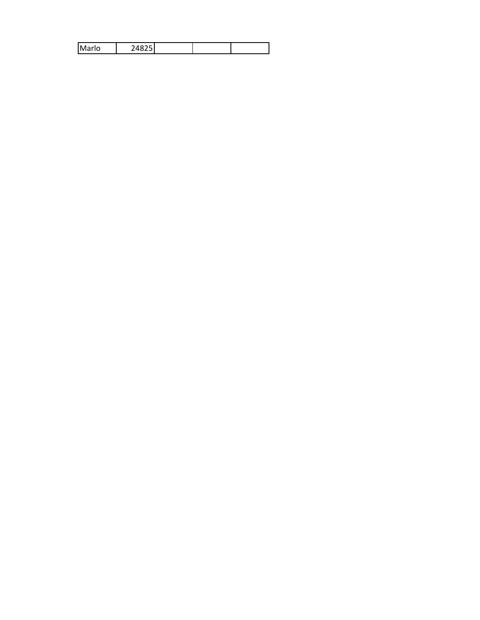|  | M<br>مامحا |  |  |  |  |
|--|------------|--|--|--|--|
|--|------------|--|--|--|--|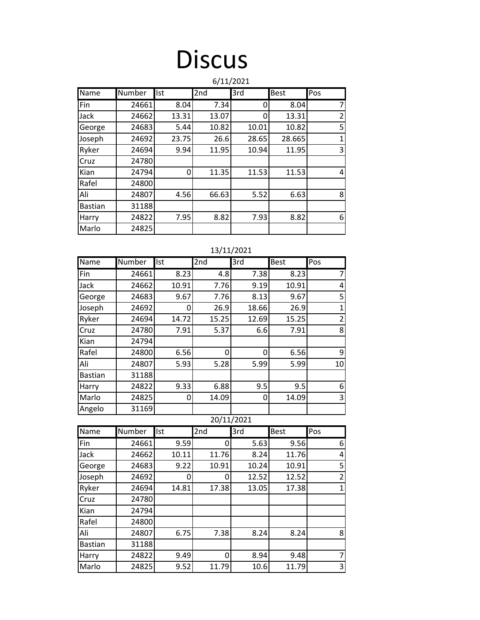### **Discus**

|                |        |       |       | 6/11/2021 |             |                |
|----------------|--------|-------|-------|-----------|-------------|----------------|
| Name           | Number | Ist   | 2nd   | 3rd       | <b>Best</b> | Pos            |
| Fin            | 24661  | 8.04  | 7.34  | O         | 8.04        | 7              |
| Jack           | 24662  | 13.31 | 13.07 | 0         | 13.31       | $\overline{2}$ |
| George         | 24683  | 5.44  | 10.82 | 10.01     | 10.82       | 5              |
| Joseph         | 24692  | 23.75 | 26.6  | 28.65     | 28.665      | $\mathbf{1}$   |
| Ryker          | 24694  | 9.94  | 11.95 | 10.94     | 11.95       | 3              |
| Cruz           | 24780  |       |       |           |             |                |
| Kian           | 24794  | 0     | 11.35 | 11.53     | 11.53       | 4              |
| Rafel          | 24800  |       |       |           |             |                |
| Ali            | 24807  | 4.56  | 66.63 | 5.52      | 6.63        | 8              |
| <b>Bastian</b> | 31188  |       |       |           |             |                |
| Harry          | 24822  | 7.95  | 8.82  | 7.93      | 8.82        | 6              |
| Marlo          | 24825  |       |       |           |             |                |

#### 13/11/2021

| Name           | Number | Ist   | 2nd   | 3rd   | <b>Best</b> | Pos            |
|----------------|--------|-------|-------|-------|-------------|----------------|
| Fin            | 24661  | 8.23  | 4.8   | 7.38  | 8.23        | 7              |
| Jack           | 24662  | 10.91 | 7.76  | 9.19  | 10.91       | 4              |
| George         | 24683  | 9.67  | 7.76  | 8.13  | 9.67        | 5              |
| Joseph         | 24692  |       | 26.9  | 18.66 | 26.9        | 1              |
| Ryker          | 24694  | 14.72 | 15.25 | 12.69 | 15.25       | $\overline{2}$ |
| Cruz           | 24780  | 7.91  | 5.37  | 6.6   | 7.91        | 8              |
| Kian           | 24794  |       |       |       |             |                |
| Rafel          | 24800  | 6.56  | 0     | 0     | 6.56        | 9              |
| Ali            | 24807  | 5.93  | 5.28  | 5.99  | 5.99        | 10             |
| <b>Bastian</b> | 31188  |       |       |       |             |                |
| Harry          | 24822  | 9.33  | 6.88  | 9.5   | 9.5         | 6              |
| Marlo          | 24825  | O     | 14.09 | 0     | 14.09       | 3              |
| Angelo         | 31169  |       |       |       |             |                |

### 20/11/2021

| Name           | Number | Ist   | 2nd   | 3rd   | <b>Best</b> | Pos            |
|----------------|--------|-------|-------|-------|-------------|----------------|
| Fin            | 24661  | 9.59  | 0     | 5.63  | 9.56        | 6              |
| Jack           | 24662  | 10.11 | 11.76 | 8.24  | 11.76       | 4              |
| George         | 24683  | 9.22  | 10.91 | 10.24 | 10.91       | 5              |
| Joseph         | 24692  | Ω     | O     | 12.52 | 12.52       | $\overline{2}$ |
| Ryker          | 24694  | 14.81 | 17.38 | 13.05 | 17.38       | 1              |
| Cruz           | 24780  |       |       |       |             |                |
| Kian           | 24794  |       |       |       |             |                |
| Rafel          | 24800  |       |       |       |             |                |
| Ali            | 24807  | 6.75  | 7.38  | 8.24  | 8.24        | 8              |
| <b>Bastian</b> | 31188  |       |       |       |             |                |
| Harry          | 24822  | 9.49  | 0     | 8.94  | 9.48        | 7              |
| Marlo          | 24825  | 9.52  | 11.79 | 10.6  | 11.79       | 3              |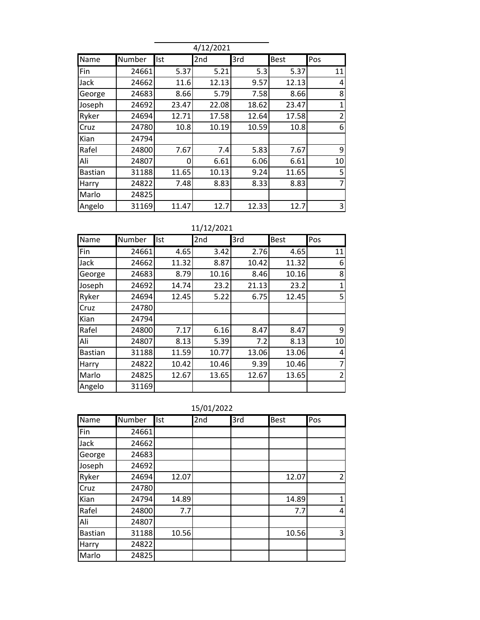|                |        |       | 4/12/2021       |       |             |                |
|----------------|--------|-------|-----------------|-------|-------------|----------------|
| Name           | Number | Ist   | 2 <sub>nd</sub> | 3rd   | <b>Best</b> | Pos            |
| Fin            | 24661  | 5.37  | 5.21            | 5.3   | 5.37        | 11             |
| Jack           | 24662  | 11.6  | 12.13           | 9.57  | 12.13       | 4              |
| George         | 24683  | 8.66  | 5.79            | 7.58  | 8.66        | 8              |
| Joseph         | 24692  | 23.47 | 22.08           | 18.62 | 23.47       | 1              |
| Ryker          | 24694  | 12.71 | 17.58           | 12.64 | 17.58       | $\overline{2}$ |
| Cruz           | 24780  | 10.8  | 10.19           | 10.59 | 10.8        | 6              |
| Kian           | 24794  |       |                 |       |             |                |
| Rafel          | 24800  | 7.67  | 7.4             | 5.83  | 7.67        | 9              |
| Ali            | 24807  | 0     | 6.61            | 6.06  | 6.61        | 10             |
| <b>Bastian</b> | 31188  | 11.65 | 10.13           | 9.24  | 11.65       | 5              |
| Harry          | 24822  | 7.48  | 8.83            | 8.33  | 8.83        | 7              |
| Marlo          | 24825  |       |                 |       |             |                |
| Angelo         | 31169  | 11.47 | 12.7            | 12.33 | 12.7        | 3              |

#### 11/12/2021

| Name           | Number | Ist   | 2nd   | 3rd   | <b>Best</b> | Pos |
|----------------|--------|-------|-------|-------|-------------|-----|
| Fin            | 24661  | 4.65  | 3.42  | 2.76  | 4.65        | 11  |
| Jack           | 24662  | 11.32 | 8.87  | 10.42 | 11.32       | 6   |
| George         | 24683  | 8.79  | 10.16 | 8.46  | 10.16       | 8   |
| Joseph         | 24692  | 14.74 | 23.2  | 21.13 | 23.2        | 1   |
| Ryker          | 24694  | 12.45 | 5.22  | 6.75  | 12.45       | 5   |
| Cruz           | 24780  |       |       |       |             |     |
| Kian           | 24794  |       |       |       |             |     |
| Rafel          | 24800  | 7.17  | 6.16  | 8.47  | 8.47        | 9   |
| Ali            | 24807  | 8.13  | 5.39  | 7.2   | 8.13        | 10  |
| <b>Bastian</b> | 31188  | 11.59 | 10.77 | 13.06 | 13.06       | 4   |
| Harry          | 24822  | 10.42 | 10.46 | 9.39  | 10.46       |     |
| Marlo          | 24825  | 12.67 | 13.65 | 12.67 | 13.65       | 2   |
| Angelo         | 31169  |       |       |       |             |     |

15/01/2022

| Name           | Number | Ist   | 2nd | 3rd | <b>Best</b> | Pos            |
|----------------|--------|-------|-----|-----|-------------|----------------|
| Fin            | 24661  |       |     |     |             |                |
| Jack           | 24662  |       |     |     |             |                |
| George         | 24683  |       |     |     |             |                |
| Joseph         | 24692  |       |     |     |             |                |
| Ryker          | 24694  | 12.07 |     |     | 12.07       | $\overline{2}$ |
| Cruz           | 24780  |       |     |     |             |                |
| Kian           | 24794  | 14.89 |     |     | 14.89       | 1              |
| Rafel          | 24800  | 7.7   |     |     | 7.7         | 4              |
| Ali            | 24807  |       |     |     |             |                |
| <b>Bastian</b> | 31188  | 10.56 |     |     | 10.56       | 3              |
| Harry          | 24822  |       |     |     |             |                |
| Marlo          | 24825  |       |     |     |             |                |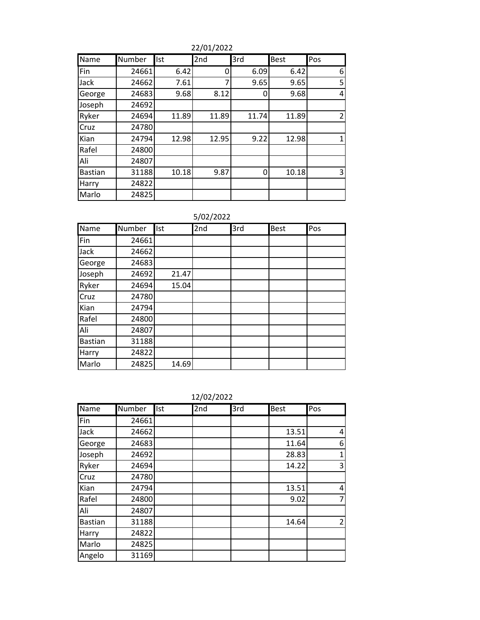22/01/2022

| Name           | <b>Number</b> | <b>Ist</b> | 2nd   | 3rd   | <b>Best</b> | Pos            |
|----------------|---------------|------------|-------|-------|-------------|----------------|
| Fin            | 24661         | 6.42       | 0     | 6.09  | 6.42        | 6              |
| Jack           | 24662         | 7.61       | 7     | 9.65  | 9.65        | 5              |
| George         | 24683         | 9.68       | 8.12  | 0     | 9.68        | 4              |
| Joseph         | 24692         |            |       |       |             |                |
| Ryker          | 24694         | 11.89      | 11.89 | 11.74 | 11.89       | $\overline{2}$ |
| Cruz           | 24780         |            |       |       |             |                |
| Kian           | 24794         | 12.98      | 12.95 | 9.22  | 12.98       | 1              |
| Rafel          | 24800         |            |       |       |             |                |
| Ali            | 24807         |            |       |       |             |                |
| <b>Bastian</b> | 31188         | 10.18      | 9.87  | 0     | 10.18       | 3              |
| Harry          | 24822         |            |       |       |             |                |
| Marlo          | 24825         |            |       |       |             |                |

### 5/02/2022

| Name           | Number | <b>Ist</b> | 2nd | 3rd | Best | Pos |
|----------------|--------|------------|-----|-----|------|-----|
| Fin            | 24661  |            |     |     |      |     |
| Jack           | 24662  |            |     |     |      |     |
| George         | 24683  |            |     |     |      |     |
| Joseph         | 24692  | 21.47      |     |     |      |     |
| Ryker          | 24694  | 15.04      |     |     |      |     |
| Cruz           | 24780  |            |     |     |      |     |
| Kian           | 24794  |            |     |     |      |     |
| Rafel          | 24800  |            |     |     |      |     |
| Ali            | 24807  |            |     |     |      |     |
| <b>Bastian</b> | 31188  |            |     |     |      |     |
| Harry          | 24822  |            |     |     |      |     |
| Marlo          | 24825  | 14.69      |     |     |      |     |

| 12/02/2022 |
|------------|
|            |

| Name           | Number | Ist | 2nd | 3rd | <b>Best</b> | Pos            |
|----------------|--------|-----|-----|-----|-------------|----------------|
| Fin            | 24661  |     |     |     |             |                |
| Jack           | 24662  |     |     |     | 13.51       | 4              |
| George         | 24683  |     |     |     | 11.64       | 6              |
| Joseph         | 24692  |     |     |     | 28.83       | $\mathbf{1}$   |
| Ryker          | 24694  |     |     |     | 14.22       | 3              |
| Cruz           | 24780  |     |     |     |             |                |
| Kian           | 24794  |     |     |     | 13.51       | 4              |
| Rafel          | 24800  |     |     |     | 9.02        | 7              |
| Ali            | 24807  |     |     |     |             |                |
| <b>Bastian</b> | 31188  |     |     |     | 14.64       | $\overline{2}$ |
| Harry          | 24822  |     |     |     |             |                |
| Marlo          | 24825  |     |     |     |             |                |
| Angelo         | 31169  |     |     |     |             |                |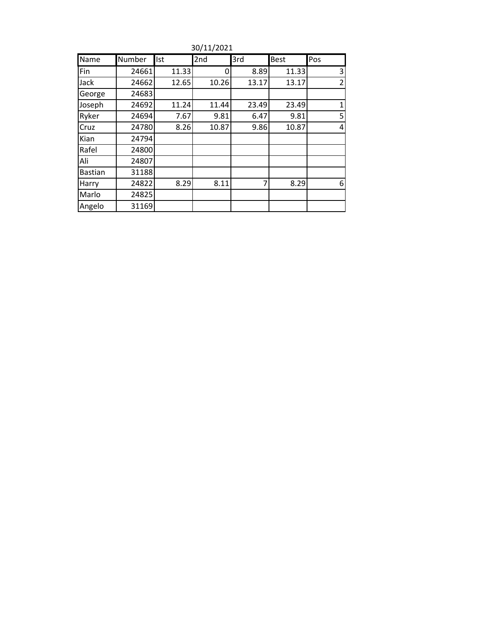| Name           | Number | Ist   | 2nd   | 3rd   | <b>Best</b> | Pos            |
|----------------|--------|-------|-------|-------|-------------|----------------|
| Fin            | 24661  | 11.33 | 0     | 8.89  | 11.33       | 3              |
| Jack           | 24662  | 12.65 | 10.26 | 13.17 | 13.17       | $\overline{2}$ |
| George         | 24683  |       |       |       |             |                |
| Joseph         | 24692  | 11.24 | 11.44 | 23.49 | 23.49       | 1              |
| Ryker          | 24694  | 7.67  | 9.81  | 6.47  | 9.81        | 5              |
| Cruz           | 24780  | 8.26  | 10.87 | 9.86  | 10.87       | 4              |
| Kian           | 24794  |       |       |       |             |                |
| Rafel          | 24800  |       |       |       |             |                |
| Ali            | 24807  |       |       |       |             |                |
| <b>Bastian</b> | 31188  |       |       |       |             |                |
| Harry          | 24822  | 8.29  | 8.11  | 7     | 8.29        | 6              |
| Marlo          | 24825  |       |       |       |             |                |
| Angelo         | 31169  |       |       |       |             |                |

30/11/2021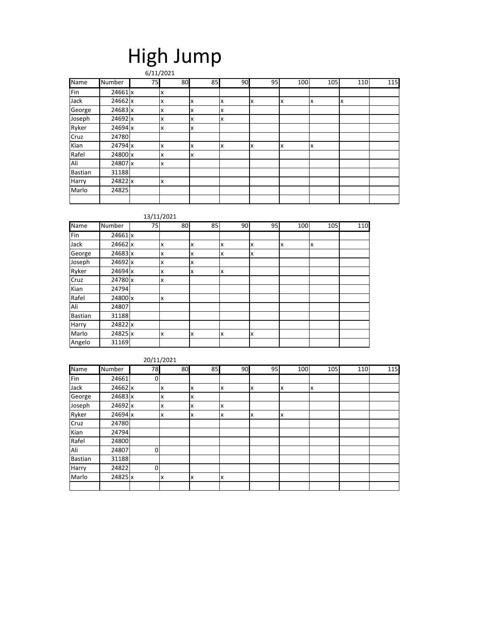### High Jump

|                |         |    | 6/11/2021 |    |    |    |     |     |     |     |
|----------------|---------|----|-----------|----|----|----|-----|-----|-----|-----|
| <b>Name</b>    | Number  | 75 | 80        | 85 | 90 | 95 | 100 | 105 | 110 | 115 |
| Fin            | 24661 x |    | x         |    |    |    |     |     |     |     |
| Jack           | 24662 x |    | x         | x  | x  | х  | x   | x   | Iχ  |     |
| George         | 24683 x |    | x         | x  | x  |    |     |     |     |     |
| Joseph         | 24692 x |    | x         | x  | x  |    |     |     |     |     |
| Ryker          | 24694 x |    | x         | x  |    |    |     |     |     |     |
| Cruz           | 24780   |    |           |    |    |    |     |     |     |     |
| Kian           | 24794 x |    | x         | x  | x  | x  | x   | x   |     |     |
| Rafel          | 24800 x |    | x         | x  |    |    |     |     |     |     |
| Ali            | 24807 x |    | x         |    |    |    |     |     |     |     |
| <b>Bastian</b> | 31188   |    |           |    |    |    |     |     |     |     |
| Harry          | 24822 x |    | x         |    |    |    |     |     |     |     |
| Marlo          | 24825   |    |           |    |    |    |     |     |     |     |
|                |         |    |           |    |    |    |     |     |     |     |

#### 13/11/2021

| Name           | Number  | 75 | 80 | 85 | 90 | 95 | 100 | 105 | 110 |
|----------------|---------|----|----|----|----|----|-----|-----|-----|
| Fin            | 24661 x |    |    |    |    |    |     |     |     |
| Jack           | 24662 x |    | x  | x  | x  | x  | x   | x   |     |
| George         | 24683 x |    | x  | x  | x  | x  |     |     |     |
| Joseph         | 24692 x |    | x  | x  |    |    |     |     |     |
| Ryker          | 24694 x |    | x  | X  | x  |    |     |     |     |
| Cruz           | 24780 x |    | x  |    |    |    |     |     |     |
| Kian           | 24794   |    |    |    |    |    |     |     |     |
| Rafel          | 24800 x |    | X  |    |    |    |     |     |     |
| Ali            | 24807   |    |    |    |    |    |     |     |     |
| <b>Bastian</b> | 31188   |    |    |    |    |    |     |     |     |
| Harry          | 24822 x |    |    |    |    |    |     |     |     |
| Marlo          | 24825 x |    | x  | x  | x  | x  |     |     |     |
| Angelo         | 31169   |    |    |    |    |    |     |     |     |

#### 20/11/2021

| Name           | Number  | 78 | 80 | 85 | 90 | 95 | 100 | 105 | 110 | 115 |
|----------------|---------|----|----|----|----|----|-----|-----|-----|-----|
| Fin            | 24661   | 0  |    |    |    |    |     |     |     |     |
| Jack           | 24662 x |    | x  | Ιx | Ιx | Ιx | X   | Iχ  |     |     |
| George         | 24683 x |    | x  | X  |    |    |     |     |     |     |
| Joseph         | 24692 x |    | x  | x  | X  |    |     |     |     |     |
| Ryker          | 24694 x |    | x  | Ιx | X  | x  | x   |     |     |     |
| Cruz           | 24780   |    |    |    |    |    |     |     |     |     |
| Kian           | 24794   |    |    |    |    |    |     |     |     |     |
| Rafel          | 24800   |    |    |    |    |    |     |     |     |     |
| Ali            | 24807   | O  |    |    |    |    |     |     |     |     |
| <b>Bastian</b> | 31188   |    |    |    |    |    |     |     |     |     |
| Harry          | 24822   | 0  |    |    |    |    |     |     |     |     |
| Marlo          | 24825 x |    | x  | Ιx | ΙX |    |     |     |     |     |
|                |         |    |    |    |    |    |     |     |     |     |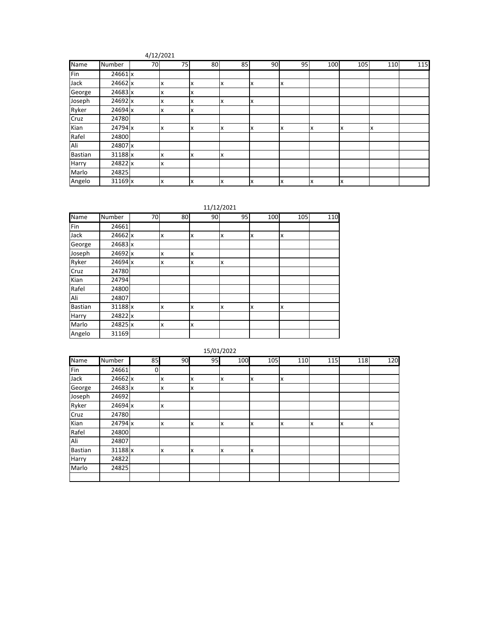#### 4/12/2021

| Name           | Number  | 70 | 75 | 80 | 85 | 90 | 95 | 100 | 105 | 110 | 115 |
|----------------|---------|----|----|----|----|----|----|-----|-----|-----|-----|
| Fin            | 24661 x |    |    |    |    |    |    |     |     |     |     |
| Jack           | 24662 x |    | x  | X  | X  | x  | x  |     |     |     |     |
| George         | 24683 x |    | x  | X  |    |    |    |     |     |     |     |
| Joseph         | 24692 x |    | x  | X  | x  | x  |    |     |     |     |     |
| Ryker          | 24694 x |    | x  | X  |    |    |    |     |     |     |     |
| Cruz           | 24780   |    |    |    |    |    |    |     |     |     |     |
| Kian           | 24794 x |    | x  | X  | X  | x  | x  | x   | x   | X   |     |
| Rafel          | 24800   |    |    |    |    |    |    |     |     |     |     |
| Ali            | 24807 x |    |    |    |    |    |    |     |     |     |     |
| <b>Bastian</b> | 31188 x |    |    | X  | x  |    |    |     |     |     |     |
| Harry          | 24822 x |    | x  |    |    |    |    |     |     |     |     |
| Marlo          | 24825   |    |    |    |    |    |    |     |     |     |     |
| Angelo         | 31169 x |    | x  | X  | X  | x  | x  | x   | x   |     |     |

11/12/2021

| <b>Name</b>    | Number  | 70 | 80 | 90 | 95 | 100 | 105 | 110 |
|----------------|---------|----|----|----|----|-----|-----|-----|
| Fin            | 24661   |    |    |    |    |     |     |     |
| Jack           | 24662 x |    | x  | x  | x  | X   | Ιx  |     |
| George         | 24683 x |    |    |    |    |     |     |     |
| Joseph         | 24692 x |    | x  | X  |    |     |     |     |
| Ryker          | 24694 x |    | x  | x  | x  |     |     |     |
| Cruz           | 24780   |    |    |    |    |     |     |     |
| Kian           | 24794   |    |    |    |    |     |     |     |
| Rafel          | 24800   |    |    |    |    |     |     |     |
| Ali            | 24807   |    |    |    |    |     |     |     |
| <b>Bastian</b> | 31188 x |    | x  | X  | X  | X   | Ιx  |     |
| Harry          | 24822 x |    |    |    |    |     |     |     |
| Marlo          | 24825 x |    | x  | X  |    |     |     |     |
| Angelo         | 31169   |    |    |    |    |     |     |     |

|                |         |                |    |    | 15/01/2022 |     |     |     |     |     |
|----------------|---------|----------------|----|----|------------|-----|-----|-----|-----|-----|
| Name           | Number  | 85             | 90 | 95 | 100        | 105 | 110 | 115 | 118 | 120 |
| Fin            | 24661   | $\overline{0}$ |    |    |            |     |     |     |     |     |
| Jack           | 24662 x |                | x  | x  | Ιx         | x   | X   |     |     |     |
| George         | 24683 x |                | X  | X  |            |     |     |     |     |     |
| Joseph         | 24692   |                |    |    |            |     |     |     |     |     |
| Ryker          | 24694 x |                | x  |    |            |     |     |     |     |     |
| Cruz           | 24780   |                |    |    |            |     |     |     |     |     |
| Kian           | 24794 x |                | x  | x  | Ιx         | x   | X   | x   | x   | x   |
| Rafel          | 24800   |                |    |    |            |     |     |     |     |     |
| Ali            | 24807   |                |    |    |            |     |     |     |     |     |
| <b>Bastian</b> | 31188 x |                | X  | x  | Ιx         | x   |     |     |     |     |
| Harry          | 24822   |                |    |    |            |     |     |     |     |     |
| Marlo          | 24825   |                |    |    |            |     |     |     |     |     |
|                |         |                |    |    |            |     |     |     |     |     |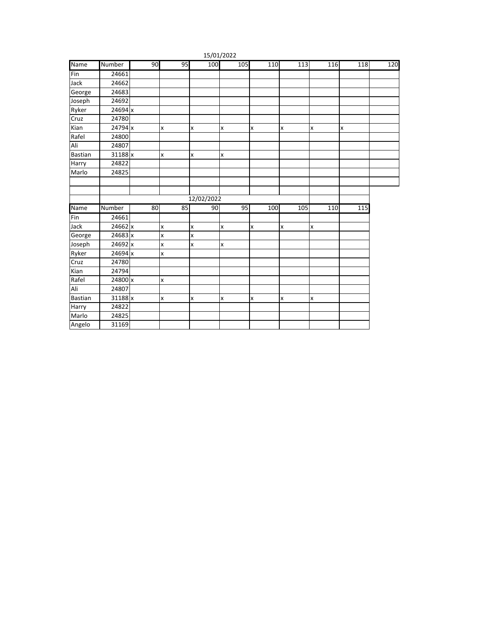|                |         |    |                |              | 15/01/2022 |                |                |     |     |     |
|----------------|---------|----|----------------|--------------|------------|----------------|----------------|-----|-----|-----|
| Name           | Number  | 90 | 95             | 100          | 105        | 110            | 113            | 116 | 118 | 120 |
| Fin            | 24661   |    |                |              |            |                |                |     |     |     |
| Jack           | 24662   |    |                |              |            |                |                |     |     |     |
| George         | 24683   |    |                |              |            |                |                |     |     |     |
| Joseph         | 24692   |    |                |              |            |                |                |     |     |     |
| Ryker          | 24694 x |    |                |              |            |                |                |     |     |     |
| Cruz           | 24780   |    |                |              |            |                |                |     |     |     |
| Kian           | 24794 x |    | $\pmb{\times}$ | $\mathsf{x}$ | x          | $\pmb{\times}$ | $\pmb{\times}$ | X   | X   |     |
| Rafel          | 24800   |    |                |              |            |                |                |     |     |     |
| Ali            | 24807   |    |                |              |            |                |                |     |     |     |
| <b>Bastian</b> | 31188 x |    | $\mathsf{x}$   | X            | X          |                |                |     |     |     |
| Harry          | 24822   |    |                |              |            |                |                |     |     |     |
| Marlo          | 24825   |    |                |              |            |                |                |     |     |     |
|                |         |    |                |              |            |                |                |     |     |     |
|                |         |    |                |              |            |                |                |     |     |     |
|                |         |    |                | 12/02/2022   |            |                |                |     |     |     |
| Name           | Number  | 80 | 85             | 90           | 95         | 100            | 105            | 110 | 115 |     |
| Fin            | 24661   |    |                |              |            |                |                |     |     |     |
| Jack           | 24662 x |    | X              | $\mathsf{x}$ | X          | $\pmb{\times}$ | x              | X   |     |     |
| George         | 24683 x |    | X              | x            |            |                |                |     |     |     |
| Joseph         | 24692 x |    | X              | x            | x          |                |                |     |     |     |
| Ryker          | 24694 x |    | $\mathsf{x}$   |              |            |                |                |     |     |     |
| Cruz           | 24780   |    |                |              |            |                |                |     |     |     |
| Kian           | 24794   |    |                |              |            |                |                |     |     |     |
| Rafel          | 24800 x |    | $\mathsf{x}$   |              |            |                |                |     |     |     |
| Ali            | 24807   |    |                |              |            |                |                |     |     |     |
| <b>Bastian</b> | 31188 x |    | x              | X            | x          | x              | x              | X   |     |     |
| Harry          | 24822   |    |                |              |            |                |                |     |     |     |
| Marlo          | 24825   |    |                |              |            |                |                |     |     |     |
| Angelo         | 31169   |    |                |              |            |                |                |     |     |     |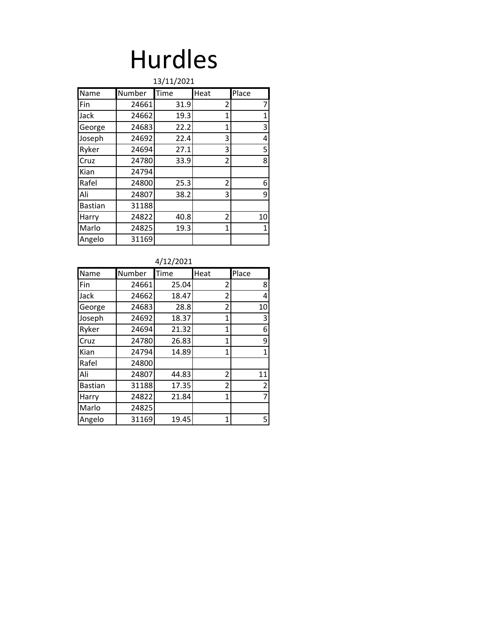### Hurdles

| 13/11/2021     |        |      |              |       |  |  |  |  |  |
|----------------|--------|------|--------------|-------|--|--|--|--|--|
| Name           | Number | Time | Heat         | Place |  |  |  |  |  |
| Fin            | 24661  | 31.9 | 2            | 7     |  |  |  |  |  |
| Jack           | 24662  | 19.3 | 1            | 1     |  |  |  |  |  |
| George         | 24683  | 22.2 | 1            | 3     |  |  |  |  |  |
| Joseph         | 24692  | 22.4 | 3            | 4     |  |  |  |  |  |
| Ryker          | 24694  | 27.1 | 3            | 5     |  |  |  |  |  |
| Cruz           | 24780  | 33.9 | 2            | 8     |  |  |  |  |  |
| Kian           | 24794  |      |              |       |  |  |  |  |  |
| Rafel          | 24800  | 25.3 | 2            | 6     |  |  |  |  |  |
| Ali            | 24807  | 38.2 | 3            | 9     |  |  |  |  |  |
| <b>Bastian</b> | 31188  |      |              |       |  |  |  |  |  |
| Harry          | 24822  | 40.8 | 2            | 10    |  |  |  |  |  |
| Marlo          | 24825  | 19.3 | $\mathbf{1}$ | 1     |  |  |  |  |  |
| Angelo         | 31169  |      |              |       |  |  |  |  |  |

#### 4/12/2021

| <b>Name</b>    | Number | Time  | Heat         | Place |
|----------------|--------|-------|--------------|-------|
| Fin            | 24661  | 25.04 | 2            | 8     |
| Jack           | 24662  | 18.47 | 2            | 4     |
| George         | 24683  | 28.8  | 2            | 10    |
| Joseph         | 24692  | 18.37 | 1            | 3     |
| Ryker          | 24694  | 21.32 | 1            | 6     |
| Cruz           | 24780  | 26.83 | 1            | 9     |
| Kian           | 24794  | 14.89 | $\mathbf{1}$ | 1     |
| Rafel          | 24800  |       |              |       |
| Ali            | 24807  | 44.83 | 2            | 11    |
| <b>Bastian</b> | 31188  | 17.35 | 2            | 2     |
| Harry          | 24822  | 21.84 | 1            | 7     |
| Marlo          | 24825  |       |              |       |
| Angelo         | 31169  | 19.45 | 1            | 5     |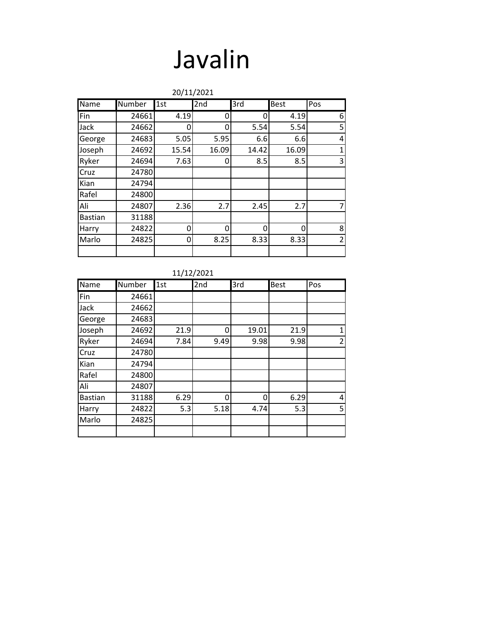### Javalin

|                | 20/11/2021 |       |       |          |             |                |  |  |  |
|----------------|------------|-------|-------|----------|-------------|----------------|--|--|--|
| Name           | Number     | 1st   | 2nd   | 3rd      | <b>Best</b> | Pos            |  |  |  |
| Fin            | 24661      | 4.19  | 0     | 0        | 4.19        | 6              |  |  |  |
| Jack           | 24662      | 0     | 0     | 5.54     | 5.54        | 5              |  |  |  |
| George         | 24683      | 5.05  | 5.95  | 6.6      | 6.6         | 4              |  |  |  |
| Joseph         | 24692      | 15.54 | 16.09 | 14.42    | 16.09       | $\mathbf 1$    |  |  |  |
| Ryker          | 24694      | 7.63  | 0     | 8.5      | 8.5         | 3              |  |  |  |
| Cruz           | 24780      |       |       |          |             |                |  |  |  |
| Kian           | 24794      |       |       |          |             |                |  |  |  |
| Rafel          | 24800      |       |       |          |             |                |  |  |  |
| Ali            | 24807      | 2.36  | 2.7   | 2.45     | 2.7         | $\overline{7}$ |  |  |  |
| <b>Bastian</b> | 31188      |       |       |          |             |                |  |  |  |
| Harry          | 24822      | 0     | O     | $\Omega$ | O           | 8              |  |  |  |
| Marlo          | 24825      | 0     | 8.25  | 8.33     | 8.33        | $\overline{2}$ |  |  |  |
|                |            |       |       |          |             |                |  |  |  |

| Name           | Number | 1st  | 2nd  | 3rd   | <b>Best</b> | Pos |
|----------------|--------|------|------|-------|-------------|-----|
| Fin            | 24661  |      |      |       |             |     |
| Jack           | 24662  |      |      |       |             |     |
| George         | 24683  |      |      |       |             |     |
| Joseph         | 24692  | 21.9 | 0    | 19.01 | 21.9        | 1   |
| Ryker          | 24694  | 7.84 | 9.49 | 9.98  | 9.98        | 2   |
| Cruz           | 24780  |      |      |       |             |     |
| Kian           | 24794  |      |      |       |             |     |
| Rafel          | 24800  |      |      |       |             |     |
| Ali            | 24807  |      |      |       |             |     |
| <b>Bastian</b> | 31188  | 6.29 | 0    | 0     | 6.29        | 4   |
| Harry          | 24822  | 5.3  | 5.18 | 4.74  | 5.3         | 5   |
| Marlo          | 24825  |      |      |       |             |     |
|                |        |      |      |       |             |     |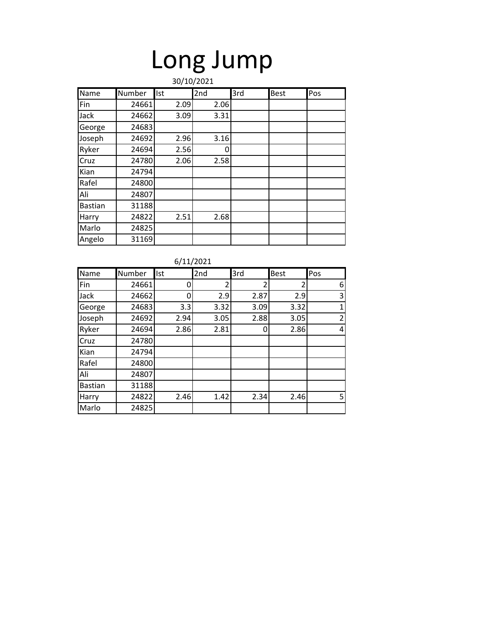# Long Jump

|                | 30/10/2021 |      |      |     |             |     |  |  |  |
|----------------|------------|------|------|-----|-------------|-----|--|--|--|
| Name           | Number     | Ist  | 2nd  | 3rd | <b>Best</b> | Pos |  |  |  |
| Fin            | 24661      | 2.09 | 2.06 |     |             |     |  |  |  |
| Jack           | 24662      | 3.09 | 3.31 |     |             |     |  |  |  |
| George         | 24683      |      |      |     |             |     |  |  |  |
| Joseph         | 24692      | 2.96 | 3.16 |     |             |     |  |  |  |
| Ryker          | 24694      | 2.56 | 0    |     |             |     |  |  |  |
| Cruz           | 24780      | 2.06 | 2.58 |     |             |     |  |  |  |
| Kian           | 24794      |      |      |     |             |     |  |  |  |
| Rafel          | 24800      |      |      |     |             |     |  |  |  |
| Ali            | 24807      |      |      |     |             |     |  |  |  |
| <b>Bastian</b> | 31188      |      |      |     |             |     |  |  |  |
| Harry          | 24822      | 2.51 | 2.68 |     |             |     |  |  |  |
| Marlo          | 24825      |      |      |     |             |     |  |  |  |
| Angelo         | 31169      |      |      |     |             |     |  |  |  |

6/11/2021

| Name           | Number | Ist  | 2nd                      | 3rd            | <b>Best</b> | Pos            |
|----------------|--------|------|--------------------------|----------------|-------------|----------------|
| Fin            | 24661  | 0    | $\overline{\phantom{a}}$ | $\overline{2}$ |             | 6              |
| Jack           | 24662  | 0    | 2.9                      | 2.87           | 2.9         | 3              |
| George         | 24683  | 3.3  | 3.32                     | 3.09           | 3.32        | 1              |
| Joseph         | 24692  | 2.94 | 3.05                     | 2.88           | 3.05        | $\overline{2}$ |
| Ryker          | 24694  | 2.86 | 2.81                     | 0              | 2.86        | 4              |
| Cruz           | 24780  |      |                          |                |             |                |
| Kian           | 24794  |      |                          |                |             |                |
| Rafel          | 24800  |      |                          |                |             |                |
| Ali            | 24807  |      |                          |                |             |                |
| <b>Bastian</b> | 31188  |      |                          |                |             |                |
| Harry          | 24822  | 2.46 | 1.42                     | 2.34           | 2.46        | 5 <sup>1</sup> |
| Marlo          | 24825  |      |                          |                |             |                |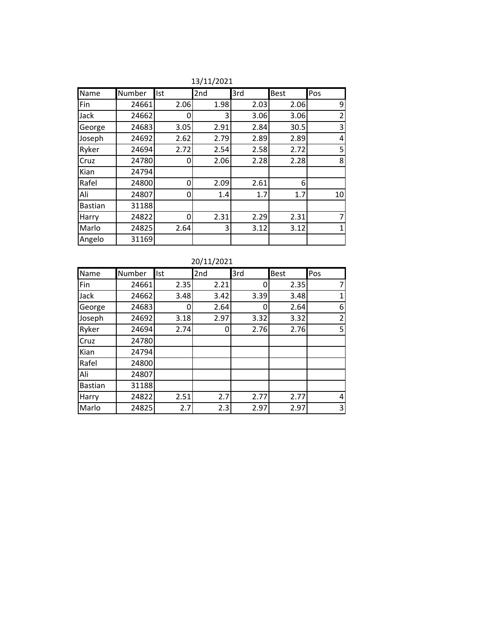| Name           | Number | Ist  | 2nd  | 3rd  | <b>Best</b> | Pos            |
|----------------|--------|------|------|------|-------------|----------------|
| Fin            | 24661  | 2.06 | 1.98 | 2.03 | 2.06        | 9              |
| Jack           | 24662  | O    | 3    | 3.06 | 3.06        | $\overline{2}$ |
| George         | 24683  | 3.05 | 2.91 | 2.84 | 30.5        | 3              |
| Joseph         | 24692  | 2.62 | 2.79 | 2.89 | 2.89        | 4              |
| Ryker          | 24694  | 2.72 | 2.54 | 2.58 | 2.72        | 5              |
| Cruz           | 24780  | O    | 2.06 | 2.28 | 2.28        | 8              |
| Kian           | 24794  |      |      |      |             |                |
| Rafel          | 24800  | 0    | 2.09 | 2.61 | 6           |                |
| Ali            | 24807  | 0    | 1.4  | 1.7  | 1.7         | 10             |
| <b>Bastian</b> | 31188  |      |      |      |             |                |
| Harry          | 24822  | Ω    | 2.31 | 2.29 | 2.31        | 7              |
| Marlo          | 24825  | 2.64 | 3    | 3.12 | 3.12        | 1              |
| Angelo         | 31169  |      |      |      |             |                |

13/11/2021

20/11/2021

| Name           | Number | Ist  | 2nd  | 3rd  | Best | Pos            |
|----------------|--------|------|------|------|------|----------------|
| Fin            | 24661  | 2.35 | 2.21 | 0    | 2.35 | 7              |
| Jack           | 24662  | 3.48 | 3.42 | 3.39 | 3.48 | 1              |
| George         | 24683  | Ω    | 2.64 | 0    | 2.64 | 6              |
| Joseph         | 24692  | 3.18 | 2.97 | 3.32 | 3.32 | 2              |
| Ryker          | 24694  | 2.74 | 0    | 2.76 | 2.76 | 5              |
| Cruz           | 24780  |      |      |      |      |                |
| Kian           | 24794  |      |      |      |      |                |
| Rafel          | 24800  |      |      |      |      |                |
| Ali            | 24807  |      |      |      |      |                |
| <b>Bastian</b> | 31188  |      |      |      |      |                |
| Harry          | 24822  | 2.51 | 2.7  | 2.77 | 2.77 | $\overline{4}$ |
| Marlo          | 24825  | 2.7  | 2.3  | 2.97 | 2.97 | 3              |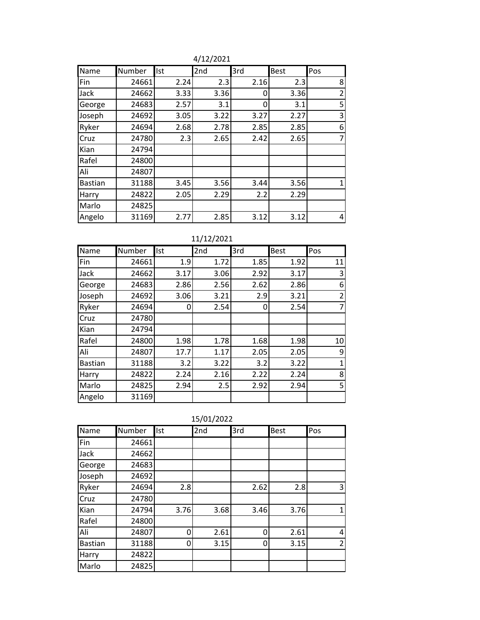| Name           | Number | <b>Ist</b> | 2nd  | 3rd  | <b>Best</b> | Pos            |
|----------------|--------|------------|------|------|-------------|----------------|
| Fin            | 24661  | 2.24       | 2.3  | 2.16 | 2.3         | 8              |
| Jack           | 24662  | 3.33       | 3.36 | 0    | 3.36        | $\overline{2}$ |
| George         | 24683  | 2.57       | 3.1  | 0    | 3.1         | 5              |
| Joseph         | 24692  | 3.05       | 3.22 | 3.27 | 2.27        | 3              |
| Ryker          | 24694  | 2.68       | 2.78 | 2.85 | 2.85        | 6              |
| Cruz           | 24780  | 2.3        | 2.65 | 2.42 | 2.65        | $\overline{7}$ |
| Kian           | 24794  |            |      |      |             |                |
| Rafel          | 24800  |            |      |      |             |                |
| Ali            | 24807  |            |      |      |             |                |
| <b>Bastian</b> | 31188  | 3.45       | 3.56 | 3.44 | 3.56        | 1              |
| Harry          | 24822  | 2.05       | 2.29 | 2.2  | 2.29        |                |
| Marlo          | 24825  |            |      |      |             |                |
| Angelo         | 31169  | 2.77       | 2.85 | 3.12 | 3.12        | 4              |

4/12/2021

| 11/12/2021 |  |
|------------|--|
|            |  |

| Name           | Number | Ist  | 2nd  | 3rd  | <b>Best</b> | Pos            |
|----------------|--------|------|------|------|-------------|----------------|
| Fin            | 24661  | 1.9  | 1.72 | 1.85 | 1.92        | 11             |
| Jack           | 24662  | 3.17 | 3.06 | 2.92 | 3.17        | 3              |
| George         | 24683  | 2.86 | 2.56 | 2.62 | 2.86        | 6              |
| Joseph         | 24692  | 3.06 | 3.21 | 2.9  | 3.21        | $\overline{2}$ |
| Ryker          | 24694  | 0    | 2.54 | 0    | 2.54        | 7              |
| Cruz           | 24780  |      |      |      |             |                |
| Kian           | 24794  |      |      |      |             |                |
| Rafel          | 24800  | 1.98 | 1.78 | 1.68 | 1.98        | 10             |
| Ali            | 24807  | 17.7 | 1.17 | 2.05 | 2.05        | 9              |
| <b>Bastian</b> | 31188  | 3.2  | 3.22 | 3.2  | 3.22        | 1              |
| Harry          | 24822  | 2.24 | 2.16 | 2.22 | 2.24        | 8              |
| Marlo          | 24825  | 2.94 | 2.5  | 2.92 | 2.94        | 5              |
| Angelo         | 31169  |      |      |      |             |                |

|                | 13/U1/ZUZZ    |            |      |      |             |                |  |  |  |  |
|----------------|---------------|------------|------|------|-------------|----------------|--|--|--|--|
| Name           | <b>Number</b> | <b>Ist</b> | 2nd  | 3rd  | <b>Best</b> | Pos            |  |  |  |  |
| Fin            | 24661         |            |      |      |             |                |  |  |  |  |
| Jack           | 24662         |            |      |      |             |                |  |  |  |  |
| George         | 24683         |            |      |      |             |                |  |  |  |  |
| Joseph         | 24692         |            |      |      |             |                |  |  |  |  |
| Ryker          | 24694         | 2.8        |      | 2.62 | 2.8         | 3              |  |  |  |  |
| Cruz           | 24780         |            |      |      |             |                |  |  |  |  |
| Kian           | 24794         | 3.76       | 3.68 | 3.46 | 3.76        | $\mathbf{1}$   |  |  |  |  |
| Rafel          | 24800         |            |      |      |             |                |  |  |  |  |
| Ali            | 24807         | ŋ          | 2.61 | 0    | 2.61        | 4              |  |  |  |  |
| <b>Bastian</b> | 31188         | ი          | 3.15 | 0    | 3.15        | $\overline{2}$ |  |  |  |  |
| Harry          | 24822         |            |      |      |             |                |  |  |  |  |
| Marlo          | 24825         |            |      |      |             |                |  |  |  |  |

15/01/2022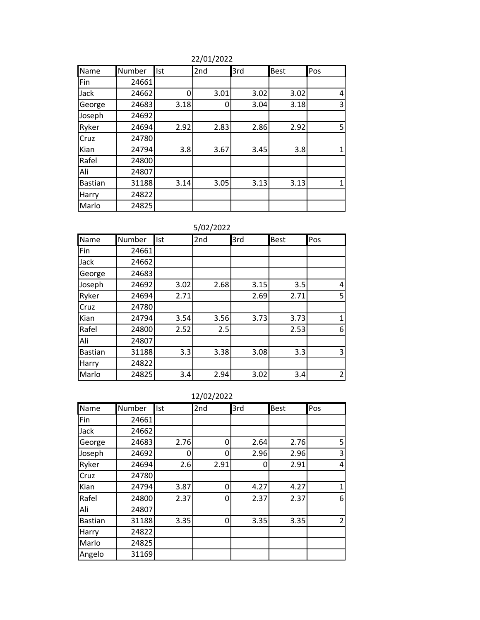22/01/2022

| Name           | Number | <b>Ist</b> | 2nd  | 3rd  | <b>Best</b> | Pos |
|----------------|--------|------------|------|------|-------------|-----|
| Fin            | 24661  |            |      |      |             |     |
| Jack           | 24662  | ŋ          | 3.01 | 3.02 | 3.02        | 4   |
| George         | 24683  | 3.18       | 0    | 3.04 | 3.18        | 3   |
| Joseph         | 24692  |            |      |      |             |     |
| Ryker          | 24694  | 2.92       | 2.83 | 2.86 | 2.92        | 5   |
| Cruz           | 24780  |            |      |      |             |     |
| Kian           | 24794  | 3.8        | 3.67 | 3.45 | 3.8         | 1   |
| Rafel          | 24800  |            |      |      |             |     |
| Ali            | 24807  |            |      |      |             |     |
| <b>Bastian</b> | 31188  | 3.14       | 3.05 | 3.13 | 3.13        | 1   |
| Harry          | 24822  |            |      |      |             |     |
| Marlo          | 24825  |            |      |      |             |     |

5/02/2022

| <b>Name</b>    | Number | Ist  | 2nd  | 3rd  | Best | Pos            |
|----------------|--------|------|------|------|------|----------------|
| Fin            | 24661  |      |      |      |      |                |
| Jack           | 24662  |      |      |      |      |                |
| George         | 24683  |      |      |      |      |                |
| Joseph         | 24692  | 3.02 | 2.68 | 3.15 | 3.5  | 4              |
| Ryker          | 24694  | 2.71 |      | 2.69 | 2.71 | 5              |
| Cruz           | 24780  |      |      |      |      |                |
| Kian           | 24794  | 3.54 | 3.56 | 3.73 | 3.73 | 1              |
| Rafel          | 24800  | 2.52 | 2.5  |      | 2.53 | 6              |
| Ali            | 24807  |      |      |      |      |                |
| <b>Bastian</b> | 31188  | 3.3  | 3.38 | 3.08 | 3.3  | 3              |
| Harry          | 24822  |      |      |      |      |                |
| Marlo          | 24825  | 3.4  | 2.94 | 3.02 | 3.4  | $\overline{2}$ |

12/02/2022

| Name           | Number | Ist  | 2nd  | 3rd  | <b>Best</b> | Pos |
|----------------|--------|------|------|------|-------------|-----|
| Fin            | 24661  |      |      |      |             |     |
| Jack           | 24662  |      |      |      |             |     |
| George         | 24683  | 2.76 | 0    | 2.64 | 2.76        | 5   |
| Joseph         | 24692  | 0    | 0    | 2.96 | 2.96        | 3   |
| Ryker          | 24694  | 2.6  | 2.91 | 0    | 2.91        | 4   |
| Cruz           | 24780  |      |      |      |             |     |
| Kian           | 24794  | 3.87 | 0    | 4.27 | 4.27        | 1   |
| Rafel          | 24800  | 2.37 | 0    | 2.37 | 2.37        | 6   |
| Ali            | 24807  |      |      |      |             |     |
| <b>Bastian</b> | 31188  | 3.35 | 0    | 3.35 | 3.35        | 2   |
| Harry          | 24822  |      |      |      |             |     |
| Marlo          | 24825  |      |      |      |             |     |
| Angelo         | 31169  |      |      |      |             |     |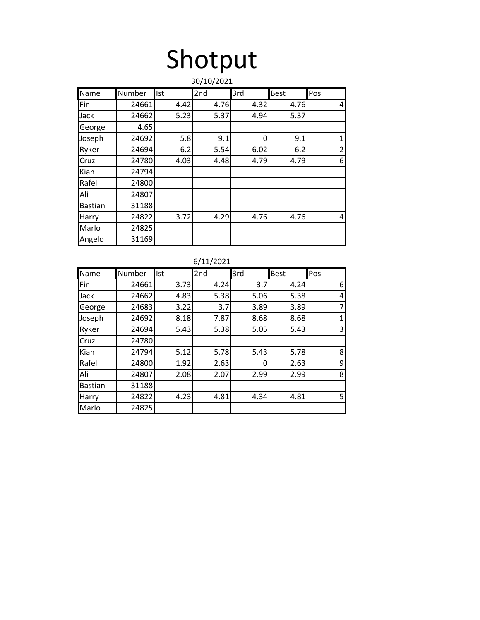## Shotput

|                | 30/10/2021 |      |      |      |             |                |  |  |  |
|----------------|------------|------|------|------|-------------|----------------|--|--|--|
| Name           | Number     | Ist  | 2nd  | 3rd  | <b>Best</b> | Pos            |  |  |  |
| Fin            | 24661      | 4.42 | 4.76 | 4.32 | 4.76        | 4              |  |  |  |
| Jack           | 24662      | 5.23 | 5.37 | 4.94 | 5.37        |                |  |  |  |
| George         | 4.65       |      |      |      |             |                |  |  |  |
| Joseph         | 24692      | 5.8  | 9.1  | 0    | 9.1         | $\mathbf{1}$   |  |  |  |
| Ryker          | 24694      | 6.2  | 5.54 | 6.02 | 6.2         | $\overline{2}$ |  |  |  |
| Cruz           | 24780      | 4.03 | 4.48 | 4.79 | 4.79        | 6              |  |  |  |
| Kian           | 24794      |      |      |      |             |                |  |  |  |
| Rafel          | 24800      |      |      |      |             |                |  |  |  |
| Ali            | 24807      |      |      |      |             |                |  |  |  |
| <b>Bastian</b> | 31188      |      |      |      |             |                |  |  |  |
| Harry          | 24822      | 3.72 | 4.29 | 4.76 | 4.76        | 4              |  |  |  |
| Marlo          | 24825      |      |      |      |             |                |  |  |  |
| Angelo         | 31169      |      |      |      |             |                |  |  |  |

6/11/2021

| Name           | Number | Ist  | 2nd  | 3rd  | Best | Pos            |
|----------------|--------|------|------|------|------|----------------|
| Fin            | 24661  | 3.73 | 4.24 | 3.7  | 4.24 | 6              |
| Jack           | 24662  | 4.83 | 5.38 | 5.06 | 5.38 | 4              |
| George         | 24683  | 3.22 | 3.7  | 3.89 | 3.89 | 7              |
| Joseph         | 24692  | 8.18 | 7.87 | 8.68 | 8.68 | 1              |
| Ryker          | 24694  | 5.43 | 5.38 | 5.05 | 5.43 | 3              |
| Cruz           | 24780  |      |      |      |      |                |
| Kian           | 24794  | 5.12 | 5.78 | 5.43 | 5.78 | 8              |
| Rafel          | 24800  | 1.92 | 2.63 | 0    | 2.63 | 9              |
| Ali            | 24807  | 2.08 | 2.07 | 2.99 | 2.99 | 8              |
| <b>Bastian</b> | 31188  |      |      |      |      |                |
| Harry          | 24822  | 4.23 | 4.81 | 4.34 | 4.81 | 5 <sup>1</sup> |
| Marlo          | 24825  |      |      |      |      |                |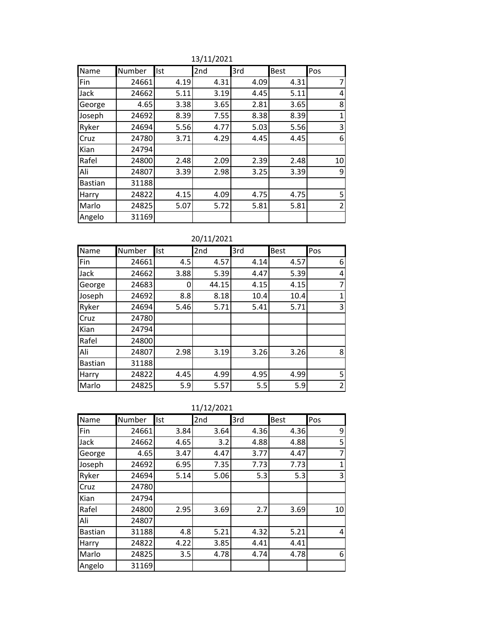| Name           | Number | Ist  | 2nd  | 3rd  | <b>Best</b> | Pos            |
|----------------|--------|------|------|------|-------------|----------------|
| Fin            | 24661  | 4.19 | 4.31 | 4.09 | 4.31        | 7              |
| Jack           | 24662  | 5.11 | 3.19 | 4.45 | 5.11        | 4              |
| George         | 4.65   | 3.38 | 3.65 | 2.81 | 3.65        | 8              |
| Joseph         | 24692  | 8.39 | 7.55 | 8.38 | 8.39        | $\mathbf{1}$   |
| Ryker          | 24694  | 5.56 | 4.77 | 5.03 | 5.56        | 3              |
| Cruz           | 24780  | 3.71 | 4.29 | 4.45 | 4.45        | 6              |
| Kian           | 24794  |      |      |      |             |                |
| Rafel          | 24800  | 2.48 | 2.09 | 2.39 | 2.48        | 10             |
| Ali            | 24807  | 3.39 | 2.98 | 3.25 | 3.39        | 9              |
| <b>Bastian</b> | 31188  |      |      |      |             |                |
| Harry          | 24822  | 4.15 | 4.09 | 4.75 | 4.75        | 5              |
| Marlo          | 24825  | 5.07 | 5.72 | 5.81 | 5.81        | $\overline{2}$ |
| Angelo         | 31169  |      |      |      |             |                |

13/11/2021

20/11/2021

| Name           | Number | Ist  | 2nd   | 3rd  | Best | Pos            |
|----------------|--------|------|-------|------|------|----------------|
| Fin            | 24661  | 4.5  | 4.57  | 4.14 | 4.57 | 6              |
| Jack           | 24662  | 3.88 | 5.39  | 4.47 | 5.39 | 4              |
| George         | 24683  | Ω    | 44.15 | 4.15 | 4.15 | 7              |
| Joseph         | 24692  | 8.8  | 8.18  | 10.4 | 10.4 | 1              |
| Ryker          | 24694  | 5.46 | 5.71  | 5.41 | 5.71 | 3              |
| Cruz           | 24780  |      |       |      |      |                |
| Kian           | 24794  |      |       |      |      |                |
| Rafel          | 24800  |      |       |      |      |                |
| Ali            | 24807  | 2.98 | 3.19  | 3.26 | 3.26 | 8              |
| <b>Bastian</b> | 31188  |      |       |      |      |                |
| Harry          | 24822  | 4.45 | 4.99  | 4.95 | 4.99 | 5              |
| Marlo          | 24825  | 5.9  | 5.57  | 5.5  | 5.9  | $\overline{2}$ |

11/12/2021

| Name           | Number | Ist  | 2nd  | 3rd  | <b>Best</b> | Pos |
|----------------|--------|------|------|------|-------------|-----|
| Fin            | 24661  | 3.84 | 3.64 | 4.36 | 4.36        | 9   |
| Jack           | 24662  | 4.65 | 3.2  | 4.88 | 4.88        | 5   |
| George         | 4.65   | 3.47 | 4.47 | 3.77 | 4.47        | 7   |
| Joseph         | 24692  | 6.95 | 7.35 | 7.73 | 7.73        | 1   |
| Ryker          | 24694  | 5.14 | 5.06 | 5.3  | 5.3         | 3   |
| Cruz           | 24780  |      |      |      |             |     |
| Kian           | 24794  |      |      |      |             |     |
| Rafel          | 24800  | 2.95 | 3.69 | 2.7  | 3.69        | 10  |
| Ali            | 24807  |      |      |      |             |     |
| <b>Bastian</b> | 31188  | 4.8  | 5.21 | 4.32 | 5.21        | 4   |
| Harry          | 24822  | 4.22 | 3.85 | 4.41 | 4.41        |     |
| Marlo          | 24825  | 3.5  | 4.78 | 4.74 | 4.78        | 6   |
| Angelo         | 31169  |      |      |      |             |     |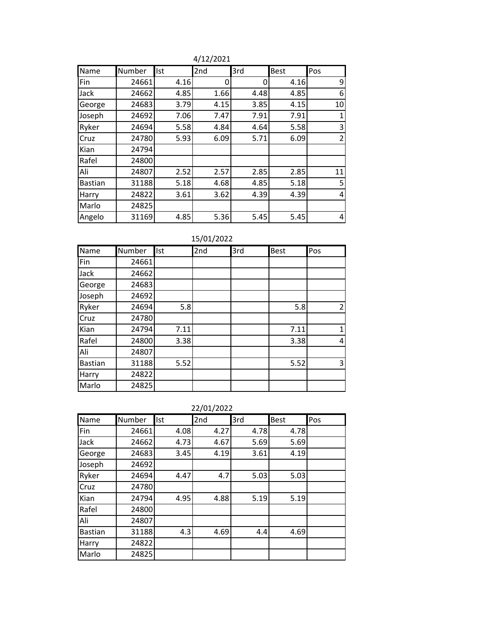| Name           | Number | Ist  | 2 <sub>nd</sub> | 3rd  | <b>Best</b> | Pos            |
|----------------|--------|------|-----------------|------|-------------|----------------|
| Fin            | 24661  | 4.16 | 0               | 0    | 4.16        | 9              |
| Jack           | 24662  | 4.85 | 1.66            | 4.48 | 4.85        | 6              |
| George         | 24683  | 3.79 | 4.15            | 3.85 | 4.15        | 10             |
| Joseph         | 24692  | 7.06 | 7.47            | 7.91 | 7.91        | 1              |
| Ryker          | 24694  | 5.58 | 4.84            | 4.64 | 5.58        | 3              |
| Cruz           | 24780  | 5.93 | 6.09            | 5.71 | 6.09        | $\overline{2}$ |
| Kian           | 24794  |      |                 |      |             |                |
| Rafel          | 24800  |      |                 |      |             |                |
| Ali            | 24807  | 2.52 | 2.57            | 2.85 | 2.85        | 11             |
| <b>Bastian</b> | 31188  | 5.18 | 4.68            | 4.85 | 5.18        | 5              |
| Harry          | 24822  | 3.61 | 3.62            | 4.39 | 4.39        | 4              |
| Marlo          | 24825  |      |                 |      |             |                |
| Angelo         | 31169  | 4.85 | 5.36            | 5.45 | 5.45        | 4              |

4/12/2021

| 15/01/2022 |
|------------|
|------------|

| Name           | Number | Ist  | 191912022<br>2nd | 3rd | <b>Best</b> | Pos            |
|----------------|--------|------|------------------|-----|-------------|----------------|
| Fin            | 24661  |      |                  |     |             |                |
| Jack           | 24662  |      |                  |     |             |                |
|                |        |      |                  |     |             |                |
| George         | 24683  |      |                  |     |             |                |
| Joseph         | 24692  |      |                  |     |             |                |
| Ryker          | 24694  | 5.8  |                  |     | 5.8         | $\overline{2}$ |
| Cruz           | 24780  |      |                  |     |             |                |
| Kian           | 24794  | 7.11 |                  |     | 7.11        | 1              |
| Rafel          | 24800  | 3.38 |                  |     | 3.38        | 4              |
| Ali            | 24807  |      |                  |     |             |                |
| <b>Bastian</b> | 31188  | 5.52 |                  |     | 5.52        | 3              |
| Harry          | 24822  |      |                  |     |             |                |
| Marlo          | 24825  |      |                  |     |             |                |

| Name           | Number | <b>Ist</b> | 2nd  | 3rd  | <b>Best</b> | Pos |
|----------------|--------|------------|------|------|-------------|-----|
| Fin            | 24661  | 4.08       | 4.27 | 4.78 | 4.78        |     |
| Jack           | 24662  | 4.73       | 4.67 | 5.69 | 5.69        |     |
| George         | 24683  | 3.45       | 4.19 | 3.61 | 4.19        |     |
| Joseph         | 24692  |            |      |      |             |     |
| Ryker          | 24694  | 4.47       | 4.7  | 5.03 | 5.03        |     |
| Cruz           | 24780  |            |      |      |             |     |
| Kian           | 24794  | 4.95       | 4.88 | 5.19 | 5.19        |     |
| Rafel          | 24800  |            |      |      |             |     |
| Ali            | 24807  |            |      |      |             |     |
| <b>Bastian</b> | 31188  | 4.3        | 4.69 | 4.4  | 4.69        |     |
| Harry          | 24822  |            |      |      |             |     |
| Marlo          | 24825  |            |      |      |             |     |